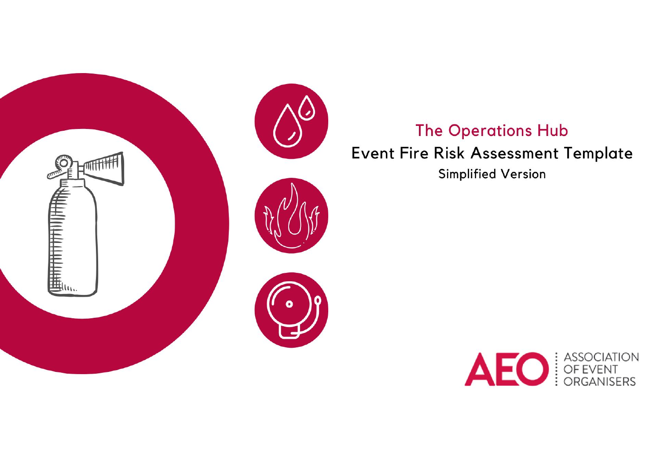

# **The Operations Hub** Event Fire Risk Assessment Template

**Simplified Version** 

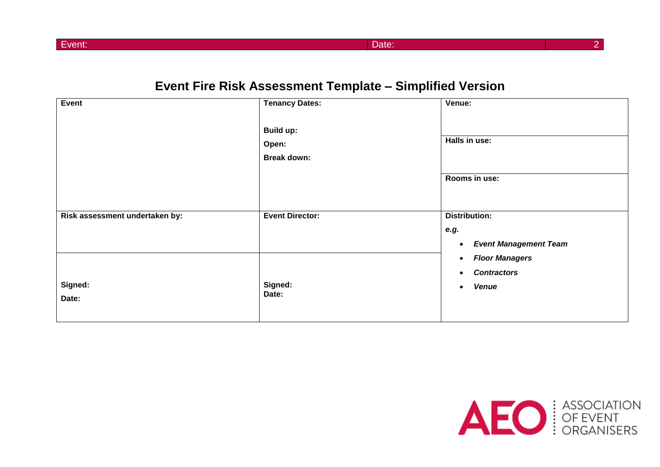Event: Date: 2

# **Event Fire Risk Assessment Template – Simplified Version**

| Event                          | <b>Tenancy Dates:</b>                           | Venue:                                                                                      |
|--------------------------------|-------------------------------------------------|---------------------------------------------------------------------------------------------|
|                                | <b>Build up:</b><br>Open:<br><b>Break down:</b> | Halls in use:                                                                               |
|                                |                                                 | Rooms in use:                                                                               |
| Risk assessment undertaken by: | <b>Event Director:</b>                          | <b>Distribution:</b>                                                                        |
|                                |                                                 | e.g.<br><b>Event Management Team</b><br>$\bullet$                                           |
| Signed:<br>Date:               | Signed:<br>Date:                                | <b>Floor Managers</b><br>$\bullet$<br><b>Contractors</b><br>$\bullet$<br>Venue<br>$\bullet$ |

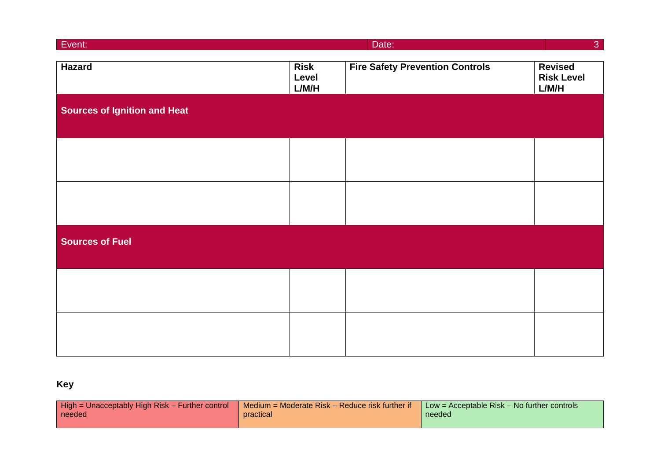| Event:                              |                               | Date:                                  | 3 <sup>°</sup>                               |
|-------------------------------------|-------------------------------|----------------------------------------|----------------------------------------------|
| <b>Hazard</b>                       | <b>Risk</b><br>Level<br>L/M/H | <b>Fire Safety Prevention Controls</b> | <b>Revised</b><br><b>Risk Level</b><br>L/M/H |
| <b>Sources of Ignition and Heat</b> |                               |                                        |                                              |
|                                     |                               |                                        |                                              |
|                                     |                               |                                        |                                              |
| <b>Sources of Fuel</b>              |                               |                                        |                                              |
|                                     |                               |                                        |                                              |
|                                     |                               |                                        |                                              |

# **Key**

| High = Unacceptably High Risk - Further control | $\blacksquare$ Medium = Moderate Risk – Reduce risk further if | $\blacksquare$ Low = Acceptable Risk – No further controls |
|-------------------------------------------------|----------------------------------------------------------------|------------------------------------------------------------|
| needed                                          | practical                                                      | needed                                                     |
|                                                 |                                                                |                                                            |